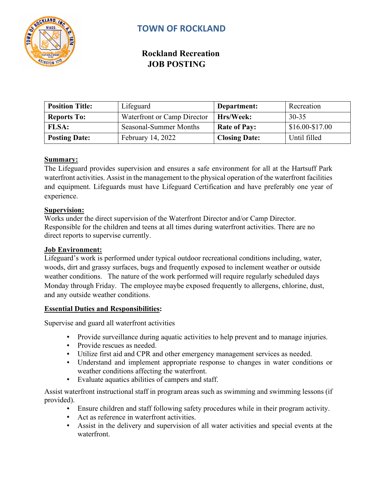

# **TOWN OF ROCKLAND**

## **Rockland Recreation JOB POSTING**

| <b>Position Title:</b> | Lifeguard                   | Department:          | Recreation      |
|------------------------|-----------------------------|----------------------|-----------------|
| <b>Reports To:</b>     | Waterfront or Camp Director | Hrs/Week:            | $30 - 35$       |
| <b>FLSA:</b>           | Seasonal-Summer Months      | <b>Rate of Pay:</b>  | $$16.00-S17.00$ |
| <b>Posting Date:</b>   | <b>February 14, 2022</b>    | <b>Closing Date:</b> | Until filled    |

## **Summary:**

The Lifeguard provides supervision and ensures a safe environment for all at the Hartsuff Park waterfront activities. Assist in the management to the physical operation of the waterfront facilities and equipment. Lifeguards must have Lifeguard Certification and have preferably one year of experience.

#### **Supervision:**

Works under the direct supervision of the Waterfront Director and/or Camp Director. Responsible for the children and teens at all times during waterfront activities. There are no direct reports to supervise currently.

#### **Job Environment:**

Lifeguard's work is performed under typical outdoor recreational conditions including, water, woods, dirt and grassy surfaces, bugs and frequently exposed to inclement weather or outside weather conditions. The nature of the work performed will require regularly scheduled days Monday through Friday. The employee maybe exposed frequently to allergens, chlorine, dust, and any outside weather conditions.

## **Essential Duties and Responsibilities:**

Supervise and guard all waterfront activities

- Provide surveillance during aquatic activities to help prevent and to manage injuries.
- Provide rescues as needed.
- Utilize first aid and CPR and other emergency management services as needed.
- Understand and implement appropriate response to changes in water conditions or weather conditions affecting the waterfront.
- Evaluate aquatics abilities of campers and staff.

Assist waterfront instructional staff in program areas such as swimming and swimming lessons (if provided).

- Ensure children and staff following safety procedures while in their program activity.
- Act as reference in waterfront activities.
- Assist in the delivery and supervision of all water activities and special events at the waterfront.